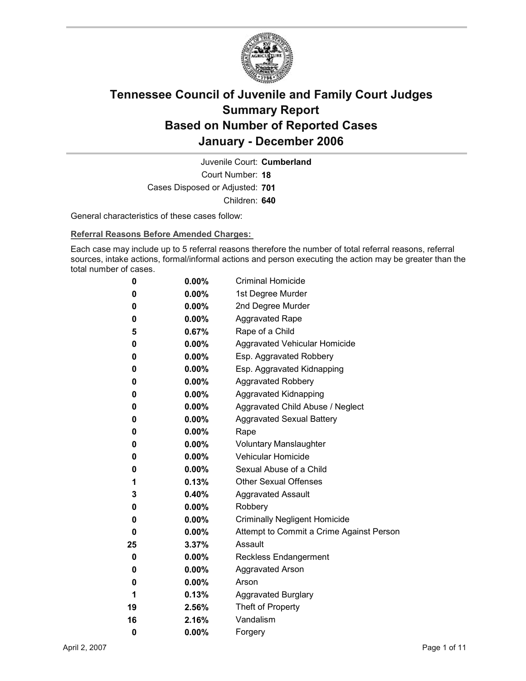

Court Number: **18** Juvenile Court: **Cumberland** Cases Disposed or Adjusted: **701** Children: **640**

General characteristics of these cases follow:

**Referral Reasons Before Amended Charges:** 

Each case may include up to 5 referral reasons therefore the number of total referral reasons, referral sources, intake actions, formal/informal actions and person executing the action may be greater than the total number of cases.

| 0  | $0.00\%$ | <b>Criminal Homicide</b>                 |
|----|----------|------------------------------------------|
| 0  | $0.00\%$ | 1st Degree Murder                        |
| 0  | $0.00\%$ | 2nd Degree Murder                        |
| 0  | $0.00\%$ | <b>Aggravated Rape</b>                   |
| 5  | 0.67%    | Rape of a Child                          |
| 0  | $0.00\%$ | Aggravated Vehicular Homicide            |
| 0  | $0.00\%$ | Esp. Aggravated Robbery                  |
| 0  | $0.00\%$ | Esp. Aggravated Kidnapping               |
| 0  | $0.00\%$ | <b>Aggravated Robbery</b>                |
| 0  | $0.00\%$ | <b>Aggravated Kidnapping</b>             |
| 0  | $0.00\%$ | Aggravated Child Abuse / Neglect         |
| 0  | $0.00\%$ | <b>Aggravated Sexual Battery</b>         |
| 0  | $0.00\%$ | Rape                                     |
| 0  | $0.00\%$ | <b>Voluntary Manslaughter</b>            |
| 0  | $0.00\%$ | <b>Vehicular Homicide</b>                |
| 0  | $0.00\%$ | Sexual Abuse of a Child                  |
| 1  | 0.13%    | <b>Other Sexual Offenses</b>             |
| 3  | $0.40\%$ | <b>Aggravated Assault</b>                |
| 0  | $0.00\%$ | Robbery                                  |
| 0  | $0.00\%$ | <b>Criminally Negligent Homicide</b>     |
| 0  | $0.00\%$ | Attempt to Commit a Crime Against Person |
| 25 | 3.37%    | Assault                                  |
| 0  | $0.00\%$ | <b>Reckless Endangerment</b>             |
| 0  | $0.00\%$ | <b>Aggravated Arson</b>                  |
| 0  | $0.00\%$ | Arson                                    |
| 1  | $0.13\%$ | <b>Aggravated Burglary</b>               |
| 19 | $2.56\%$ | Theft of Property                        |
| 16 | 2.16%    | Vandalism                                |
| 0  | 0.00%    | Forgery                                  |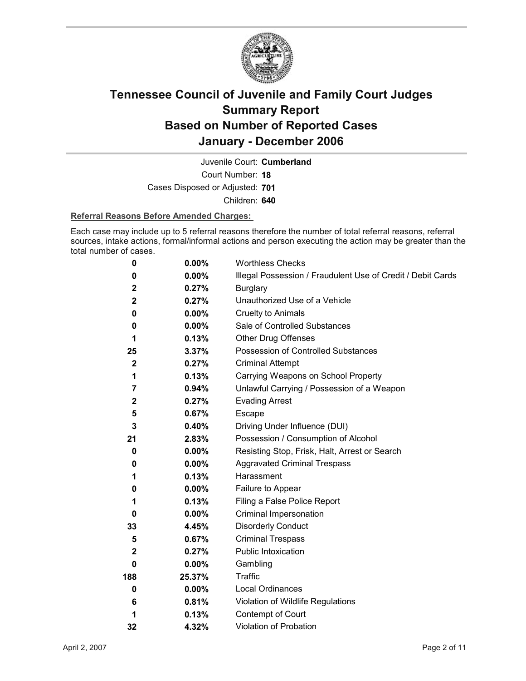

Court Number: **18** Juvenile Court: **Cumberland** Cases Disposed or Adjusted: **701** Children: **640**

#### **Referral Reasons Before Amended Charges:**

Each case may include up to 5 referral reasons therefore the number of total referral reasons, referral sources, intake actions, formal/informal actions and person executing the action may be greater than the total number of cases.

| 0            | 0.00%    | <b>Worthless Checks</b>                                     |
|--------------|----------|-------------------------------------------------------------|
| 0            | $0.00\%$ | Illegal Possession / Fraudulent Use of Credit / Debit Cards |
| $\mathbf 2$  | 0.27%    | <b>Burglary</b>                                             |
| $\mathbf 2$  | 0.27%    | Unauthorized Use of a Vehicle                               |
| 0            | 0.00%    | <b>Cruelty to Animals</b>                                   |
| 0            | $0.00\%$ | Sale of Controlled Substances                               |
| 1            | 0.13%    | <b>Other Drug Offenses</b>                                  |
| 25           | 3.37%    | Possession of Controlled Substances                         |
| $\mathbf 2$  | 0.27%    | <b>Criminal Attempt</b>                                     |
| 1            | 0.13%    | Carrying Weapons on School Property                         |
| 7            | 0.94%    | Unlawful Carrying / Possession of a Weapon                  |
| $\mathbf{2}$ | 0.27%    | <b>Evading Arrest</b>                                       |
| 5            | 0.67%    | Escape                                                      |
| 3            | $0.40\%$ | Driving Under Influence (DUI)                               |
| 21           | 2.83%    | Possession / Consumption of Alcohol                         |
| 0            | $0.00\%$ | Resisting Stop, Frisk, Halt, Arrest or Search               |
| 0            | $0.00\%$ | <b>Aggravated Criminal Trespass</b>                         |
| 1            | 0.13%    | Harassment                                                  |
| 0            | $0.00\%$ | Failure to Appear                                           |
| 1            | 0.13%    | Filing a False Police Report                                |
| 0            | $0.00\%$ | Criminal Impersonation                                      |
| 33           | 4.45%    | <b>Disorderly Conduct</b>                                   |
| 5            | 0.67%    | <b>Criminal Trespass</b>                                    |
| $\mathbf{2}$ | 0.27%    | <b>Public Intoxication</b>                                  |
| 0            | $0.00\%$ | Gambling                                                    |
| 188          | 25.37%   | <b>Traffic</b>                                              |
| 0            | $0.00\%$ | Local Ordinances                                            |
| 6            | 0.81%    | Violation of Wildlife Regulations                           |
| 1            | 0.13%    | Contempt of Court                                           |
| 32           | 4.32%    | Violation of Probation                                      |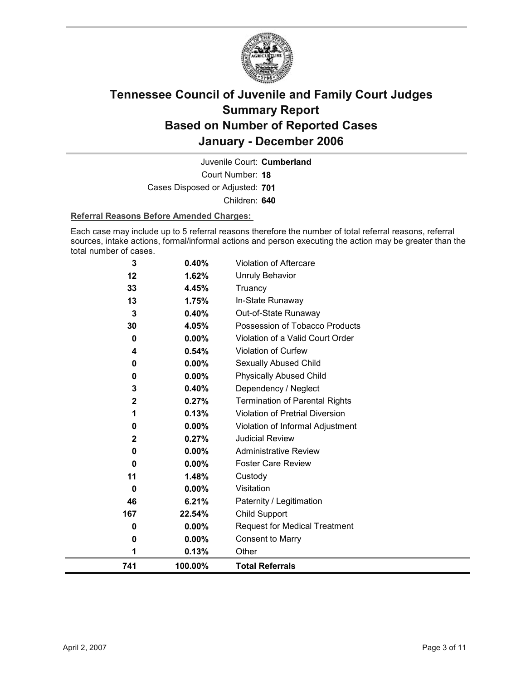

Court Number: **18** Juvenile Court: **Cumberland** Cases Disposed or Adjusted: **701** Children: **640**

#### **Referral Reasons Before Amended Charges:**

Each case may include up to 5 referral reasons therefore the number of total referral reasons, referral sources, intake actions, formal/informal actions and person executing the action may be greater than the total number of cases.

| 741          | 100.00%  | <b>Total Referrals</b>                 |
|--------------|----------|----------------------------------------|
| 1            | 0.13%    | Other                                  |
| 0            | 0.00%    | <b>Consent to Marry</b>                |
| 0            | $0.00\%$ | <b>Request for Medical Treatment</b>   |
| 167          | 22.54%   | Child Support                          |
| 46           | 6.21%    | Paternity / Legitimation               |
| 0            | 0.00%    | Visitation                             |
| 11           | 1.48%    | Custody                                |
| 0            | 0.00%    | <b>Foster Care Review</b>              |
| 0            | $0.00\%$ | <b>Administrative Review</b>           |
| $\mathbf{2}$ | 0.27%    | <b>Judicial Review</b>                 |
| 0            | 0.00%    | Violation of Informal Adjustment       |
| 1            | 0.13%    | <b>Violation of Pretrial Diversion</b> |
| $\mathbf{2}$ | 0.27%    | <b>Termination of Parental Rights</b>  |
| 3            | 0.40%    | Dependency / Neglect                   |
| 0            | 0.00%    | <b>Physically Abused Child</b>         |
| 0            | $0.00\%$ | Sexually Abused Child                  |
| 4            | 0.54%    | <b>Violation of Curfew</b>             |
| 0            | 0.00%    | Violation of a Valid Court Order       |
| 30           | 4.05%    | Possession of Tobacco Products         |
| 3            | 0.40%    | Out-of-State Runaway                   |
| 13           | 1.75%    | In-State Runaway                       |
| 33           | 4.45%    | Truancy                                |
| 12           | 1.62%    | <b>Unruly Behavior</b>                 |
| 3            | 0.40%    | <b>Violation of Aftercare</b>          |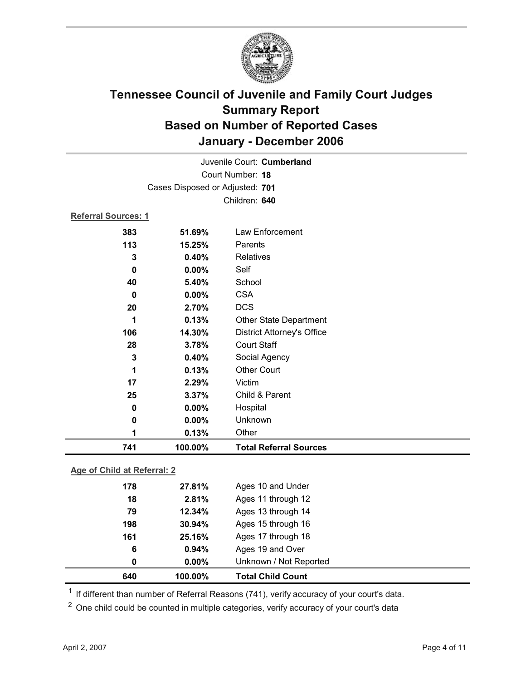

|                            |                                 | Juvenile Court: Cumberland        |  |
|----------------------------|---------------------------------|-----------------------------------|--|
|                            |                                 | Court Number: 18                  |  |
|                            | Cases Disposed or Adjusted: 701 |                                   |  |
|                            |                                 | Children: 640                     |  |
| <b>Referral Sources: 1</b> |                                 |                                   |  |
| 383                        | 51.69%                          | Law Enforcement                   |  |
| 113                        | 15.25%                          | Parents                           |  |
| 3                          | 0.40%                           | <b>Relatives</b>                  |  |
| 0                          | $0.00\%$                        | Self                              |  |
| 40                         | 5.40%                           | School                            |  |
| $\bf{0}$                   | 0.00%                           | <b>CSA</b>                        |  |
| 20                         | 2.70%                           | <b>DCS</b>                        |  |
| 1                          | 0.13%                           | Other State Department            |  |
| 106                        | 14.30%                          | <b>District Attorney's Office</b> |  |
| 28                         | 3.78%                           | <b>Court Staff</b>                |  |
| $\mathbf{3}$               | 0.40%                           | Social Agency                     |  |
| 1                          | 0.13%                           | <b>Other Court</b>                |  |
| 17                         | 2.29%                           | Victim                            |  |
| 25                         | 3.37%                           | Child & Parent                    |  |
| 0                          | $0.00\%$                        | Hospital                          |  |
| 0                          | 0.00%                           | Unknown                           |  |
| 1                          | 0.13%                           | Other                             |  |
| 741                        | 100.00%                         | <b>Total Referral Sources</b>     |  |
|                            |                                 |                                   |  |

#### **Age of Child at Referral: 2**

| 640 | 100.00%  | <b>Total Child Count</b> |
|-----|----------|--------------------------|
| 0   | $0.00\%$ | Unknown / Not Reported   |
| 6   | 0.94%    | Ages 19 and Over         |
| 161 | 25.16%   | Ages 17 through 18       |
| 198 | 30.94%   | Ages 15 through 16       |
| 79  | 12.34%   | Ages 13 through 14       |
| 18  | 2.81%    | Ages 11 through 12       |
| 178 | 27.81%   | Ages 10 and Under        |
|     |          |                          |

 $1$  If different than number of Referral Reasons (741), verify accuracy of your court's data.

<sup>2</sup> One child could be counted in multiple categories, verify accuracy of your court's data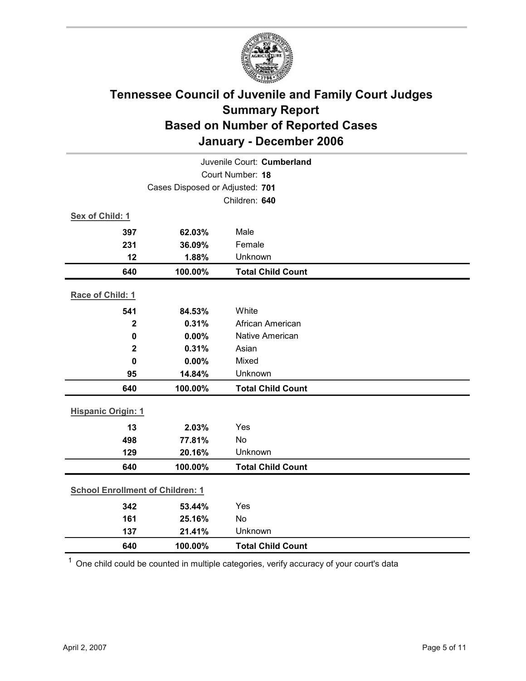

| Juvenile Court: Cumberland              |                                 |                          |  |  |
|-----------------------------------------|---------------------------------|--------------------------|--|--|
| Court Number: 18                        |                                 |                          |  |  |
|                                         | Cases Disposed or Adjusted: 701 |                          |  |  |
|                                         |                                 | Children: 640            |  |  |
| Sex of Child: 1                         |                                 |                          |  |  |
| 397                                     | 62.03%                          | Male                     |  |  |
| 231                                     | 36.09%                          | Female                   |  |  |
| 12                                      | 1.88%                           | Unknown                  |  |  |
| 640                                     | 100.00%                         | <b>Total Child Count</b> |  |  |
| Race of Child: 1                        |                                 |                          |  |  |
| 541                                     | 84.53%                          | White                    |  |  |
| $\mathbf{2}$                            | 0.31%                           | African American         |  |  |
| $\mathbf 0$                             | 0.00%                           | Native American          |  |  |
| $\mathbf 2$                             | 0.31%                           | Asian                    |  |  |
| $\mathbf{0}$                            | 0.00%                           | Mixed                    |  |  |
| 95                                      | 14.84%                          | Unknown                  |  |  |
| 640                                     | 100.00%                         | <b>Total Child Count</b> |  |  |
| <b>Hispanic Origin: 1</b>               |                                 |                          |  |  |
| 13                                      | 2.03%                           | Yes                      |  |  |
| 498                                     | 77.81%                          | <b>No</b>                |  |  |
| 129                                     | 20.16%                          | Unknown                  |  |  |
| 640                                     | 100.00%                         | <b>Total Child Count</b> |  |  |
| <b>School Enrollment of Children: 1</b> |                                 |                          |  |  |
| 342                                     | 53.44%                          | Yes                      |  |  |
| 161                                     | 25.16%                          | No                       |  |  |
| 137                                     | 21.41%                          | Unknown                  |  |  |
| 640                                     | 100.00%                         | <b>Total Child Count</b> |  |  |

 $1$  One child could be counted in multiple categories, verify accuracy of your court's data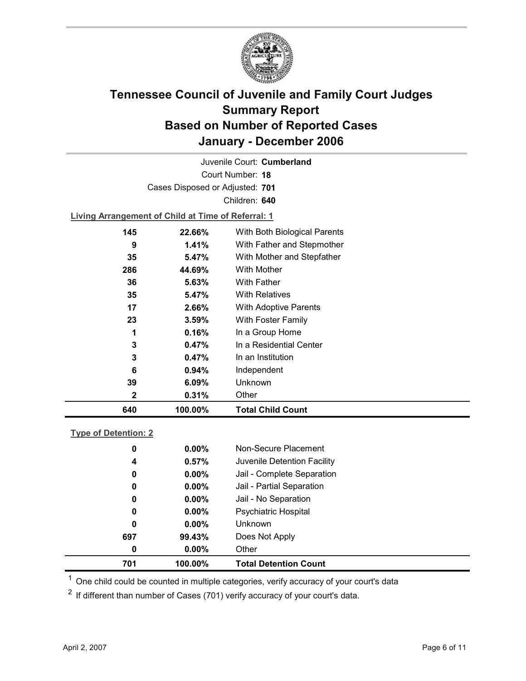

Court Number: **18** Juvenile Court: **Cumberland** Cases Disposed or Adjusted: **701** Children: **640 Living Arrangement of Child at Time of Referral: 1 145 22.66%** With Both Biological Parents

| 640 | 100.00% | <b>Total Child Count</b>             |
|-----|---------|--------------------------------------|
| 2   | 0.31%   | Other                                |
| 39  | 6.09%   | Unknown                              |
| 6   | 0.94%   | Independent                          |
| 3   | 0.47%   | In an Institution                    |
| 3   | 0.47%   | In a Residential Center              |
|     | 0.16%   | In a Group Home                      |
| 23  | 3.59%   | With Foster Family                   |
| 17  | 2.66%   | With Adoptive Parents                |
| 35  | 5.47%   | <b>With Relatives</b>                |
| 36  | 5.63%   | <b>With Father</b>                   |
| 286 | 44.69%  | With Mother                          |
| 35  | 5.47%   | With Mother and Stepfather           |
| 9   | 1.41%   | With Father and Stepmother           |
| 145 | 22.66%  | <i>vvith Both Biological Parents</i> |

|--|

| 701 | 100.00%  | <b>Total Detention Count</b> |  |
|-----|----------|------------------------------|--|
| 0   | $0.00\%$ | Other                        |  |
| 697 | 99.43%   | Does Not Apply               |  |
| 0   | $0.00\%$ | <b>Unknown</b>               |  |
| 0   | $0.00\%$ | <b>Psychiatric Hospital</b>  |  |
| 0   | $0.00\%$ | Jail - No Separation         |  |
| 0   | $0.00\%$ | Jail - Partial Separation    |  |
| 0   | $0.00\%$ | Jail - Complete Separation   |  |
| 4   | 0.57%    | Juvenile Detention Facility  |  |
| 0   | $0.00\%$ | Non-Secure Placement         |  |
|     |          |                              |  |

 $<sup>1</sup>$  One child could be counted in multiple categories, verify accuracy of your court's data</sup>

 $2$  If different than number of Cases (701) verify accuracy of your court's data.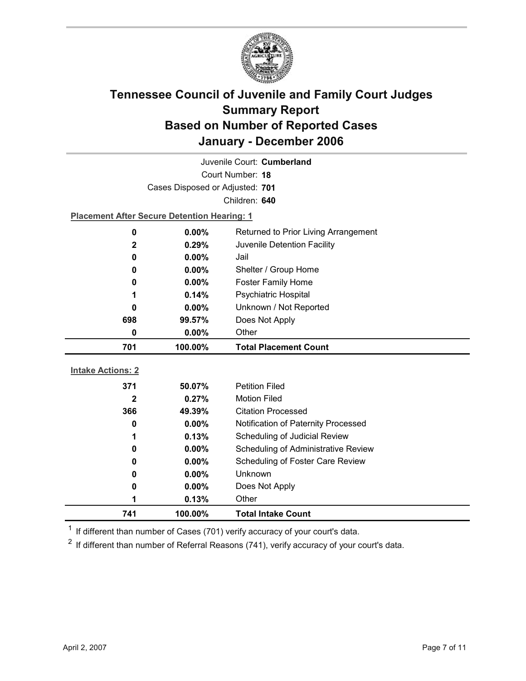

|                          |                                                    | Juvenile Court: Cumberland                 |  |
|--------------------------|----------------------------------------------------|--------------------------------------------|--|
| Court Number: 18         |                                                    |                                            |  |
|                          | Cases Disposed or Adjusted: 701                    |                                            |  |
|                          |                                                    | Children: 640                              |  |
|                          | <b>Placement After Secure Detention Hearing: 1</b> |                                            |  |
| $\mathbf 0$              | $0.00\%$                                           | Returned to Prior Living Arrangement       |  |
| $\mathbf{2}$             | 0.29%                                              | Juvenile Detention Facility                |  |
| $\bf{0}$                 | 0.00%                                              | Jail                                       |  |
| 0                        | $0.00\%$                                           | Shelter / Group Home                       |  |
| 0                        | 0.00%                                              | <b>Foster Family Home</b>                  |  |
| 1                        | 0.14%                                              | <b>Psychiatric Hospital</b>                |  |
| 0                        | $0.00\%$                                           | Unknown / Not Reported                     |  |
| 698                      | 99.57%                                             | Does Not Apply                             |  |
| $\bf{0}$                 | $0.00\%$                                           | Other                                      |  |
|                          |                                                    |                                            |  |
| 701                      | 100.00%                                            | <b>Total Placement Count</b>               |  |
|                          |                                                    |                                            |  |
| <b>Intake Actions: 2</b> |                                                    |                                            |  |
| 371                      | 50.07%                                             | <b>Petition Filed</b>                      |  |
| 2                        | 0.27%                                              | <b>Motion Filed</b>                        |  |
| 366                      | 49.39%                                             | <b>Citation Processed</b>                  |  |
| 0                        | $0.00\%$                                           | Notification of Paternity Processed        |  |
| 1                        | 0.13%                                              | Scheduling of Judicial Review              |  |
| 0                        | $0.00\%$                                           | <b>Scheduling of Administrative Review</b> |  |
| 0                        | 0.00%                                              | Scheduling of Foster Care Review           |  |
| 0                        | $0.00\%$                                           | Unknown                                    |  |
| 0                        | $0.00\%$                                           | Does Not Apply                             |  |
| 1<br>741                 | 0.13%<br>100.00%                                   | Other<br><b>Total Intake Count</b>         |  |

 $1$  If different than number of Cases (701) verify accuracy of your court's data.

 $2$  If different than number of Referral Reasons (741), verify accuracy of your court's data.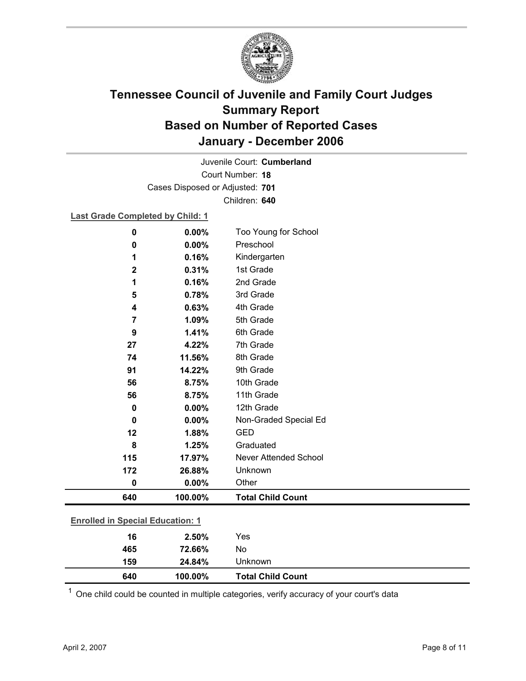

Court Number: **18** Juvenile Court: **Cumberland** Cases Disposed or Adjusted: **701** Children: **640**

**Last Grade Completed by Child: 1**

| 0                                       | 0.00%   | Too Young for School         |
|-----------------------------------------|---------|------------------------------|
| 0                                       | 0.00%   | Preschool                    |
| 1                                       | 0.16%   | Kindergarten                 |
| $\mathbf 2$                             | 0.31%   | 1st Grade                    |
| 1                                       | 0.16%   | 2nd Grade                    |
| 5                                       | 0.78%   | 3rd Grade                    |
| 4                                       | 0.63%   | 4th Grade                    |
| 7                                       | 1.09%   | 5th Grade                    |
| 9                                       | 1.41%   | 6th Grade                    |
| 27                                      | 4.22%   | 7th Grade                    |
| 74                                      | 11.56%  | 8th Grade                    |
| 91                                      | 14.22%  | 9th Grade                    |
| 56                                      | 8.75%   | 10th Grade                   |
| 56                                      | 8.75%   | 11th Grade                   |
| $\mathbf 0$                             | 0.00%   | 12th Grade                   |
| 0                                       | 0.00%   | Non-Graded Special Ed        |
| 12                                      | 1.88%   | <b>GED</b>                   |
| 8                                       | 1.25%   | Graduated                    |
| 115                                     | 17.97%  | <b>Never Attended School</b> |
| 172                                     | 26.88%  | Unknown                      |
| $\mathbf 0$                             | 0.00%   | Other                        |
| 640                                     | 100.00% | <b>Total Child Count</b>     |
| <b>Enrolled in Special Education: 1</b> |         |                              |
|                                         |         |                              |
| 16                                      | 2.50%   | Yes                          |

| 159 | 24.84%  | Unknown                  |  |
|-----|---------|--------------------------|--|
| 640 | 100.00% | <b>Total Child Count</b> |  |
|     |         |                          |  |

 $1$  One child could be counted in multiple categories, verify accuracy of your court's data

**465 72.66%** No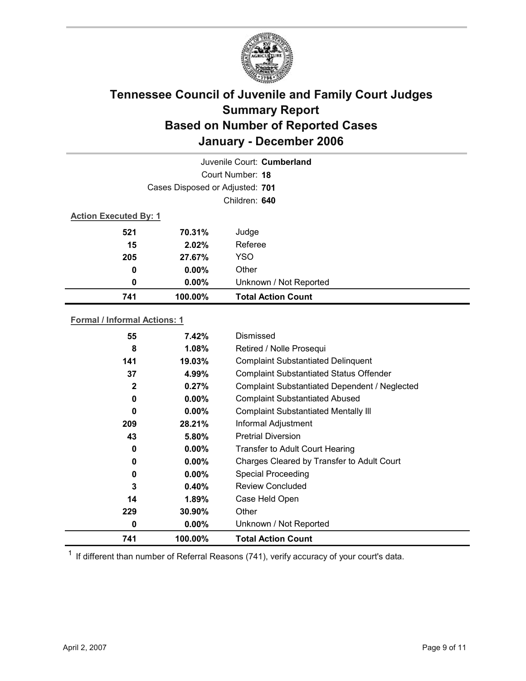

| Juvenile Court: Cumberland      |          |                           |  |  |  |
|---------------------------------|----------|---------------------------|--|--|--|
| Court Number: 18                |          |                           |  |  |  |
| Cases Disposed or Adjusted: 701 |          |                           |  |  |  |
| Children: 640                   |          |                           |  |  |  |
| <b>Action Executed By: 1</b>    |          |                           |  |  |  |
| 521                             | 70.31%   | Judge                     |  |  |  |
| 15                              | 2.02%    | Referee                   |  |  |  |
| 205                             | 27.67%   | <b>YSO</b>                |  |  |  |
| $\boldsymbol{0}$                | $0.00\%$ | Other                     |  |  |  |
| 0                               | $0.00\%$ | Unknown / Not Reported    |  |  |  |
| 741                             | 100.00%  | <b>Total Action Count</b> |  |  |  |

#### **Formal / Informal Actions: 1**

| 55           | 7.42%    | Dismissed                                      |
|--------------|----------|------------------------------------------------|
| 8            | 1.08%    | Retired / Nolle Prosequi                       |
| 141          | 19.03%   | <b>Complaint Substantiated Delinquent</b>      |
| 37           | 4.99%    | <b>Complaint Substantiated Status Offender</b> |
| $\mathbf{2}$ | 0.27%    | Complaint Substantiated Dependent / Neglected  |
| 0            | $0.00\%$ | <b>Complaint Substantiated Abused</b>          |
| $\bf{0}$     | $0.00\%$ | <b>Complaint Substantiated Mentally III</b>    |
| 209          | 28.21%   | Informal Adjustment                            |
| 43           | 5.80%    | <b>Pretrial Diversion</b>                      |
| 0            | $0.00\%$ | <b>Transfer to Adult Court Hearing</b>         |
| 0            | $0.00\%$ | Charges Cleared by Transfer to Adult Court     |
| 0            | $0.00\%$ | <b>Special Proceeding</b>                      |
| 3            | 0.40%    | <b>Review Concluded</b>                        |
| 14           | $1.89\%$ | Case Held Open                                 |
| 229          | 30.90%   | Other                                          |
| 0            | $0.00\%$ | Unknown / Not Reported                         |
| 741          | 100.00%  | <b>Total Action Count</b>                      |

 $1$  If different than number of Referral Reasons (741), verify accuracy of your court's data.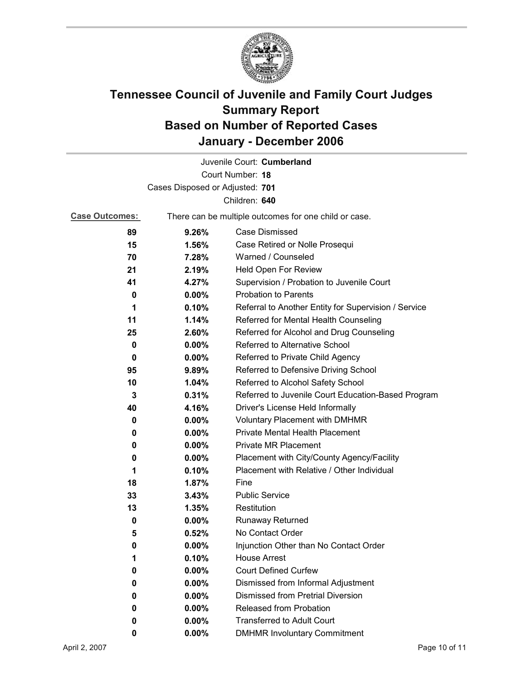

|                                 |                                                       | Juvenile Court: Cumberland                           |  |  |
|---------------------------------|-------------------------------------------------------|------------------------------------------------------|--|--|
| Court Number: 18                |                                                       |                                                      |  |  |
| Cases Disposed or Adjusted: 701 |                                                       |                                                      |  |  |
|                                 |                                                       | Children: 640                                        |  |  |
| <b>Case Outcomes:</b>           | There can be multiple outcomes for one child or case. |                                                      |  |  |
| 89                              | 9.26%                                                 | Case Dismissed                                       |  |  |
| 15                              | 1.56%                                                 | Case Retired or Nolle Prosequi                       |  |  |
| 70                              | 7.28%                                                 | Warned / Counseled                                   |  |  |
| 21                              | 2.19%                                                 | Held Open For Review                                 |  |  |
| 41                              | 4.27%                                                 | Supervision / Probation to Juvenile Court            |  |  |
| 0                               | $0.00\%$                                              | <b>Probation to Parents</b>                          |  |  |
| 1                               | 0.10%                                                 | Referral to Another Entity for Supervision / Service |  |  |
| 11                              | 1.14%                                                 | Referred for Mental Health Counseling                |  |  |
| 25                              | 2.60%                                                 | Referred for Alcohol and Drug Counseling             |  |  |
| 0                               | $0.00\%$                                              | Referred to Alternative School                       |  |  |
| 0                               | 0.00%                                                 | Referred to Private Child Agency                     |  |  |
| 95                              | 9.89%                                                 | Referred to Defensive Driving School                 |  |  |
| 10                              | 1.04%                                                 | Referred to Alcohol Safety School                    |  |  |
| 3                               | 0.31%                                                 | Referred to Juvenile Court Education-Based Program   |  |  |
| 40                              | 4.16%                                                 | Driver's License Held Informally                     |  |  |
| 0                               | 0.00%                                                 | <b>Voluntary Placement with DMHMR</b>                |  |  |
| 0                               | $0.00\%$                                              | <b>Private Mental Health Placement</b>               |  |  |
| 0                               | 0.00%                                                 | <b>Private MR Placement</b>                          |  |  |
| 0                               | $0.00\%$                                              | Placement with City/County Agency/Facility           |  |  |
| 1                               | 0.10%                                                 | Placement with Relative / Other Individual           |  |  |
| 18                              | 1.87%                                                 | Fine                                                 |  |  |
| 33                              | 3.43%                                                 | <b>Public Service</b>                                |  |  |
| 13                              | 1.35%                                                 | Restitution                                          |  |  |
| 0                               | $0.00\%$                                              | <b>Runaway Returned</b>                              |  |  |
| 5                               | 0.52%                                                 | No Contact Order                                     |  |  |
| 0                               | 0.00%                                                 | Injunction Other than No Contact Order               |  |  |
| 1                               | 0.10%                                                 | <b>House Arrest</b>                                  |  |  |
| 0                               | 0.00%                                                 | <b>Court Defined Curfew</b>                          |  |  |
| 0                               | 0.00%                                                 | Dismissed from Informal Adjustment                   |  |  |
| 0                               | 0.00%                                                 | <b>Dismissed from Pretrial Diversion</b>             |  |  |
| 0                               | 0.00%                                                 | Released from Probation                              |  |  |
| 0                               | $0.00\%$                                              | <b>Transferred to Adult Court</b>                    |  |  |
| 0                               | 0.00%                                                 | <b>DMHMR Involuntary Commitment</b>                  |  |  |